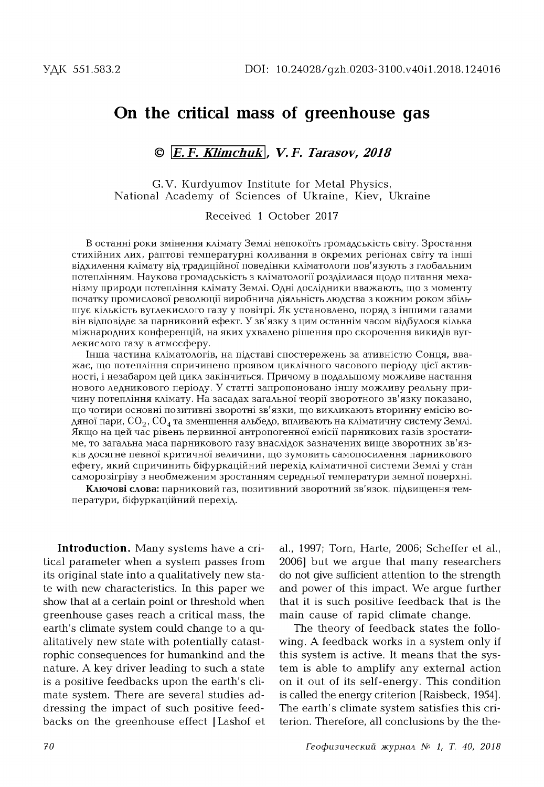## **On the critical mass of greenhouse gas**

## **© E. F.** *Klimchuk* **,** *V. F. Tarasov, 2018*

G.V. Kurdyumov Institute for Metal Physics, National Academy of Sciences of Ukraine, Kiev, Ukraine

Received 1 October 2017

В останні роки змінення клімату Землі непокоїть громадськість світу. Зростання стихійних лих, раптові температурні коливання в окремих регіонах світу та інші відхилення клімату від традиційної поведінки кліматологи пов'язують з глобальним потеплінням. Наукова громадськість з кліматології розділилася щодо питання механізму природи потепління клімату Землі. Одні дослідники вважають, що з моменту початку промислової революції виробнича діяльність людства з кожним роком збільшує кількість вуглекислого газу у повітрі. Як установлено, поряд з іншими газами він відповідає за парниковий ефект. У зв'язку з цим останнім часом відбулося кілька міжнародних конференцій, на яких ухвалено рішення про скорочення викидів вуглекислого газу в атмосферу.

Інша частина кліматологів, на підставі спостережень за ативністю Сонця, вважає, що потепління спричинено проявом циклічного часового періоду цієї активності, і незабаром цей цикл закінчиться. Причому в подальшому можливе настання нового ледникового періоду. У статті запропоновано іншу можливу реальну причину потепління клімату. На засадах загальної теорії зворотного зв'язку показано, що чотири основні позитивні зворотні зв'язки, що викликають вторинну емісію водяної пари,  $CO_2$ ,  $CO_4$  та зменшення альбедо, впливають на кліматичну систему Землі. Якщо на цей час рівень первинної антропогенної емісії парникових газів зростатиме, то загальна маса парникового газу внаслідок зазначених вище зворотних зв'язків досягне певної критичної величини, що зумовить самопосилення парникового ефету, який спричинить біфуркаційний перехід кліматичної системи Землі у стан саморозігріву з необмеженим зростанням середньої температури земної поверхні.

**Ключові слова:** парниковий газ, позитивний зворотний зв'язок, підвищення температури, біфуркаційний перехід.

**Introduction.** Many systems have a critical parameter when a system passes from its original state into a qualitatively new state with new characteristics. In this paper we show that at a certain point or threshold when greenhouse gases reach a critical mass, the earth's climate system could change to a qualitatively new state with potentially catastrophic consequences for humankind and the nature. A key driver leading to such a state is a positive feedbacks upon the earth's climate system. There are several studies addressing the impact of such positive feedbacks on the greenhouse effect [Lashof et

al., 1997; Torn, Harte, 2006; Scheffer et al., 2006] but we argue that many researchers do not give sufficient attention to the strength and power of this impact. We argue further that it is such positive feedback that is the main cause of rapid climate change.

The theory of feedback states the following. A feedback works in a system only if this system is active. It means that the system is able to amplify any external action on it out of its self-energy. This condition is called the energy criterion [Raisbeck, 1954]. The earth's climate system satisfies this criterion. Therefore, all conclusions by the the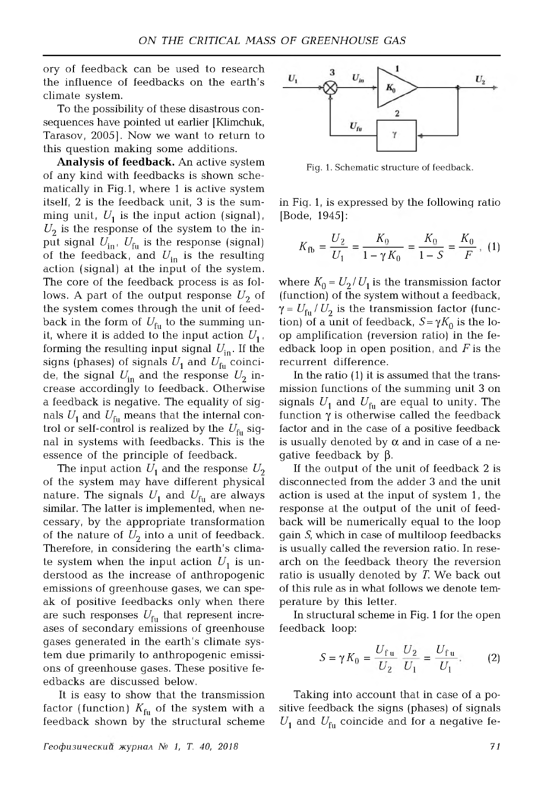ory of feedback can be used to research the influence of feedbacks on the earth's climate system.

To the possibility of these disastrous consequences have pointed ut earlier [Klimchuk, Tarasov, 2005]. Now we want to return to this question making some additions.

Analysis of feedback. An active system of any kind with feedbacks is shown schematically in Fig.1, where 1 is active system itself, 2 is the feedback unit, 3 is the summing unit,  $U_1$  is the input action (signal),  $U_2$  is the response of the system to the input signal  $U_{\text{in}}$ ,  $U_{\text{fu}}$  is the response (signal) of the feedback, and  $U_{\text{in}}$  is the resulting action (signal) at the input of the system. The core of the feedback process is as follows. A part of the output response  $U_2$  of the system comes through the unit of feedback in the form of  $U_{\text{fu}}$  to the summing unit, where it is added to the input action  $U_1$ , forming the resulting input signal  $U_{\text{in}}$ . If the signs (phases) of signals  $U_1$  and  $U_{f<sub>u</sub>}$  coincide, the signal  $U_{\text{in}}$  and the response  $U_2$  increase accordingly to feedback. Otherwise a feedback is negative. The equality of signals  $U_1$  and  $U_{\text{fu}}$  means that the internal control or self-control is realized by the  $U_{\text{fn}}$  signal in systems with feedbacks. This is the essence of the principle of feedback.

The input action  $U_1$  and the response  $U_2$ of the system may have different physical nature. The signals  $U_1$  and  $U_{\text{fu}}$  are always similar. The latter is implemented, when necessary, by the appropriate transformation of the nature of  $U_2$  into a unit of feedback. Therefore, in considering the earth's climate system when the input action  $U_1$  is understood as the increase of anthropogenic emissions of greenhouse gases, we can speak of positive feedbacks only when there are such responses  $U_{\text{fu}}$  that represent increases of secondary emissions of greenhouse gases generated in the earth's climate system due primarily to anthropogenic emissions of greenhouse gases. These positive feedbacks are discussed below.

It is easy to show that the transmission factor (function)  $K_{\text{fu}}$  of the system with a feedback shown by the structural scheme



Fig. 1. Schematic structure of feedback.

in Fig. 1, is expressed by the following ratio [Bode, 1945]:

$$
K_{\text{fb}} = \frac{U_2}{U_1} = \frac{K_0}{1 - \gamma K_0} = \frac{K_0}{1 - S} = \frac{K_0}{F}, (1)
$$

where  $K_0 = U_2/U_1$  is the transmission factor (function) of the system without a feedback,  $\gamma = U_{\text{fu}}/U_2$  is the transmission factor (function) of a unit of feedback,  $S = \gamma K_0$  is the loop amplification (reversion ratio) in the feedback loop in open position, and *F* is the recurrent difference.

In the ratio (1) it is assumed that the transmission functions of the summing unit 3 on signals  $U_1$  and  $U_{\text{fu}}$  are equal to unity. The function  $\gamma$  is otherwise called the feedback factor and in the case of a positive feedback is usually denoted by  $\alpha$  and in case of a negative feedback by  $\beta$ .

If the output of the unit of feedback 2 is disconnected from the adder 3 and the unit action is used at the input of system 1 , the response at the output of the unit of feedback will be numerically equal to the loop gain *S*, which in case of multiloop feedbacks is usually called the reversion ratio. In research on the feedback theory the reversion ratio is usually denoted by *T*. We back out of this rule as in what follows we denote temperature by this letter.

In structural scheme in Fig. 1 for the open feedback loop:

$$
S = \gamma K_0 = \frac{U_{\rm fu}}{U_2} \frac{U_2}{U_1} = \frac{U_{\rm fu}}{U_1}.
$$
 (2)

Taking into account that in case of a positive feedback the signs (phases) of signals  $U_1$  and  $U_{\rm fu}$  coincide and for a negative fe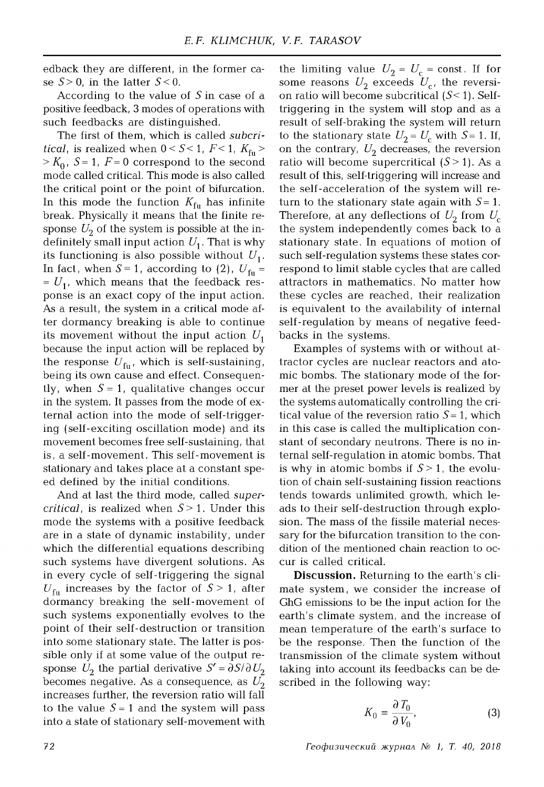edback they are different, in the former case  $S > 0$ , in the latter  $S < 0$ .

According to the value of *S* in case of a positive feedback, 3 modes of operations with such feedbacks are distinguished.

The first of them, which is called *subcritical*, is realized when  $0 < S < 1$ ,  $F < 1$ ,  $K_{\text{fu}} >$  $> K_0$ ,  $S = 1$ ,  $F = 0$  correspond to the second mode called critical. This mode is also called the critical point or the point of bifurcation. In this mode the function  $K_{f<sub>u</sub>}$  has infinite break. Physically it means that the finite response  $U_2$  of the system is possible at the indefinitely small input action  $U_1$ . That is why its functioning is also possible without  $U_1$ . In fact, when  $S = 1$ , according to (2),  $U_{\text{fu}} =$  $= U_{1}$ , which means that the feedback response is an exact copy of the input action. As a result, the system in a critical mode after dormancy breaking is able to continue its movement without the input action  $U_1$ because the input action will be replaced by the response  $U_{\rm fu}$ , which is self-sustaining, being its own cause and effect. Consequently, when  $S = 1$ , qualitative changes occur in the system. It passes from the mode of external action into the mode of self-triggering (self-exciting oscillation mode) and its movement becomes free self-sustaining, that is, a self-movement. This self-movement is stationary and takes place at a constant speed defined by the initial conditions.

And at last the third mode, called *supercritical* , is realized when *S >* 1. Under this mode the systems with a positive feedback are in a state of dynamic instability, under which the differential equations describing such systems have divergent solutions. As in every cycle of self-triggering the signal  $U_{\text{fu}}$  increases by the factor of  $S > 1$ , after dormancy breaking the self-movement of such systems exponentially evolves to the point of their self-destruction or transition into some stationary state. The latter is possible only if at some value of the output response  $U_2$  the partial derivative  $S' = \partial S / \partial U_2$ becomes negative. As a consequence, as  $U_2$ increases further, the reversion ratio will fall to the value  $S = 1$  and the system will pass into a state of stationary self-movement with

the limiting value  $U_2 = U_c$  = const. If for some reasons  $U_2$  exceeds  $U_{c}$ , the reversion ratio will become subcritical  $(S<1)$ . Selftriggering in the system will stop and as a result of self-braking the system will return to the stationary state  $U_2 = U_c$  with  $S = 1$ . If, on the contrary,  $U_2$  decreases, the reversion ratio will become supercritical  $(S > 1)$ . As a result of this, self-triggering will increase and the self-acceleration of the system will return to the stationary state again with  $S = 1$ . Therefore, at any deflections of  $U_2$  from  $U_c$ the system independently comes back to a stationary state. In equations of motion of such self-regulation systems these states correspond to limit stable cycles that are called attractors in mathematics. No matter how these cycles are reached, their realization is equivalent to the availability of internal self-regulation by means of negative feedbacks in the systems.

Examples of systems with or without attractor cycles are nuclear reactors and atomic bombs. The stationary mode of the former at the preset power levels is realized by the systems automatically controlling the critical value of the reversion ratio  $S = 1$ , which in this case is called the multiplication constant of secondary neutrons. There is no internal self-regulation in atomic bombs. That is why in atomic bombs if  $S > 1$ , the evolution of chain self-sustaining fission reactions tends towards unlimited growth, which leads to their self-destruction through explosion. The mass of the fissile material necessary for the bifurcation transition to the condition of the mentioned chain reaction to occur is called critical.

**Discussion.** Returning to the earth's climate system , we consider the increase of GhG emissions to be the input action for the earth's climate system, and the increase of mean temperature of the earth's surface to be the response. Then the function of the transmission of the climate system without taking into account its feedbacks can be described in the following way:

$$
K_0 = \frac{\partial T_0}{\partial V_0},\tag{3}
$$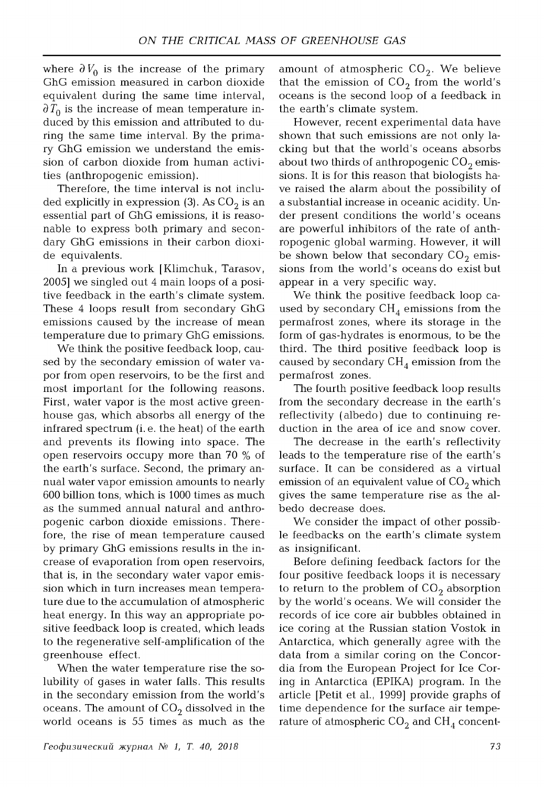where  $\partial V_0$  is the increase of the primary GhG emission measured in carbon dioxide equivalent during the same time interval,  $\partial T_0$  is the increase of mean temperature induced by this emission and attributed to during the same time interval. By the primary GhG emission we understand the emission of carbon dioxide from human activities (anthropogenic emission).

Therefore, the time interval is not included explicitly in expression (3). As  $CO<sub>2</sub>$  is an essential part of GhG emissions, it is reasonable to express both primary and secondary GhG emissions in their carbon dioxide equivalents.

In a previous work [Klimchuk, Tarasov, 2005] we singled out 4 main loops of a positive feedback in the earth's climate system. These 4 loops result from secondary GhG emissions caused by the increase of mean temperature due to primary GhG emissions.

We think the positive feedback loop, caused by the secondary emission of water vapor from open reservoirs, to be the first and most important for the following reasons. First, water vapor is the most active greenhouse gas, which absorbs all energy of the infrared spectrum (i. e. the heat) of the earth and prevents its flowing into space. The open reservoirs occupy more than 70 % of the earth's surface. Second, the primary annual water vapor emission amounts to nearly 600 billion tons, which is 1000 times as much as the summed annual natural and anthropogenic carbon dioxide emissions. There fore, the rise of mean temperature caused by primary GhG emissions results in the increase of evaporation from open reservoirs, that is, in the secondary water vapor emission which in turn increases mean temperature due to the accumulation of atmospheric heat energy. In this way an appropriate positive feedback loop is created, which leads to the regenerative self-amplification of the greenhouse effect.

When the water temperature rise the solubility of gases in water falls. This results in the secondary emission from the world's oceans. The amount of  $CO<sub>2</sub>$  dissolved in the world oceans is 55 times as much as the

amount of atmospheric  $CO<sub>2</sub>$ . We believe that the emission of  $CO<sub>2</sub>$  from the world's oceans is the second loop of a feedback in the earth's climate system.

However, recent experimental data have shown that such emissions are not only lacking but that the world's oceans absorbs about two thirds of anthropogenic  $CO<sub>2</sub>$  emissions. It is for this reason that biologists have raised the alarm about the possibility of a substantial increase in oceanic acidity. Under present conditions the world's oceans are powerful inhibitors of the rate of anthropogenic global warming. However, it will be shown below that secondary  $CO<sub>2</sub>$  emissions from the world's oceans do exist but appear in a very specific way.

We think the positive feedback loop caused by secondary  $CH<sub>4</sub>$  emissions from the permafrost zones, where its storage in the form of gas-hydrates is enormous, to be the third. The third positive feedback loop is caused by secondary  $CH<sub>4</sub>$  emission from the permafrost zones.

The fourth positive feedback loop results from the secondary decrease in the earth's reflectivity (albedo) due to continuing reduction in the area of ice and snow cover.

The decrease in the earth's reflectivity leads to the temperature rise of the earth's surface. It can be considered as a virtual emission of an equivalent value of  $CO<sub>2</sub>$  which gives the same temperature rise as the albedo decrease does.

We consider the impact of other possible feedbacks on the earth's climate system as insignificant.

Before defining feedback factors for the four positive feedback loops it is necessary to return to the problem of  $CO<sub>2</sub>$  absorption by the world's oceans. We will consider the records of ice core air bubbles obtained in ice coring at the Russian station Vostok in Antarctica, which generally agree with the data from a similar coring on the Concordia from the European Project for Ice Coring in Antarctica (EPIKA) program. In the article [Petit et al., 1999] provide graphs of time dependence for the surface air temperature of atmospheric  $\mathrm{CO}_2$  and  $\mathrm{CH}_4$  concent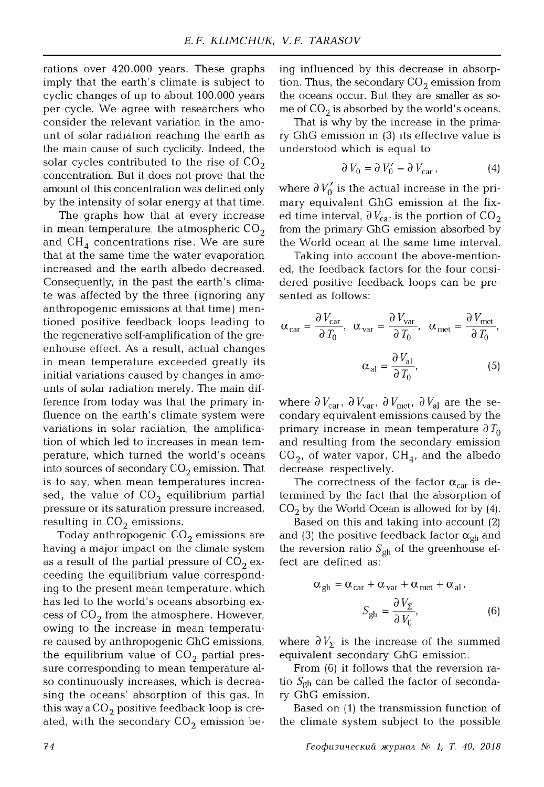rations over 420.000 years. These graphs imply that the earth's climate is subject to cyclic changes of up to about 100,000 years per cycle. We agree with researchers who consider the relevant variation in the amount of solar radiation reaching the earth as the main cause of such cyclicity. Indeed, the solar cycles contributed to the rise of  $CO<sub>2</sub>$ concentration. But it does not prove that the amount of this concentration was defined only by the intensity of solar energy at that time.

The graphs how that at every increase in mean temperature, the atmospheric  $CO<sub>2</sub>$ and  $CH<sub>4</sub>$  concentrations rise. We are sure that at the same time the water evaporation increased and the earth albedo decreased. Consequently, in the past the earth's climate was affected by the three ( ignoring any anthropogenic emissions at that time) mentioned positive feedback loops leading to the regenerative self-amplification of the greenhouse effect. As a result, actual changes in mean temperature exceeded greatly its initial variations caused by changes in amounts of solar radiation merely. The main difference from today was that the primary influence on the earth's climate system were variations in solar radiation, the amplification of which led to increases in mean tem perature, which turned the world's oceans into sources of secondary  $CO<sub>2</sub>$  emission. That is to say, when mean temperatures increased, the value of  $CO<sub>2</sub>$  equilibrium partial pressure or its saturation pressure increased, resulting in  $CO<sub>2</sub>$  emissions.

Today anthropogenic  $CO<sub>2</sub>$  emissions are having a major impact on the climate system as a result of the partial pressure of  $CO<sub>2</sub>$  exceeding the equilibrium value corresponding to the present mean temperature, which has led to the world's oceans absorbing excess of  $CO<sub>2</sub>$  from the atmosphere. However, owing to the increase in mean temperature caused by anthropogenic GhG emissions, the equilibrium value of  $CO<sub>2</sub>$  partial pressure corresponding to mean temperature also continuously increases, which is decreasing the oceans' absorption of this gas. In this way a  $CO<sub>2</sub>$  positive feedback loop is created, with the secondary  $CO_2$  emission be-

ing influenced by this decrease in absorption. Thus, the secondary  $CO_2$  emission from the oceans occur. But they are smaller as some of  $CO<sub>2</sub>$  is absorbed by the world's oceans.

That is why by the increase in the primary GhG emission in (3) its effective value is understood which is equal to

$$
\partial V_0 = \partial V'_0 - \partial V_{\text{car}}\,,\tag{4}
$$

where  $\partial V_0'$  is the actual increase in the primary equivalent GhG emission at the fixed time interval,  $\partial V_{\text{car}}$  is the portion of CO<sub>2</sub> from the primary GhG emission absorbed by the World ocean at the same time interval.

Taking into account the above-mentioned, the feedback factors for the four considered positive feedback loops can be presented as follows:

$$
\alpha_{\text{car}} = \frac{\partial V_{\text{car}}}{\partial T_0}, \quad \alpha_{\text{var}} = \frac{\partial V_{\text{var}}}{\partial T_0}, \quad \alpha_{\text{met}} = \frac{\partial V_{\text{met}}}{\partial T_0},
$$

$$
\alpha_{\text{al}} = \frac{\partial V_{\text{al}}}{\partial T_0}, \tag{5}
$$

where  $\partial V_{\text{car}}$ ,  $\partial V_{\text{var}}$ ,  $\partial V_{\text{met}}$ ,  $\partial V_{\text{al}}$  are the secondary equivalent emissions caused by the primary increase in mean temperature  $\partial T_0$ and resulting from the secondary emission  $CO<sub>2</sub>$ , of water vapor,  $CH<sub>4</sub>$ , and the albedo decrease respectively.

The correctness of the factor  $\alpha_{\rm car}$  is determined by the fact that the absorption of  $CO<sub>2</sub>$  by the World Ocean is allowed for by (4).

Based on this and taking into account (2) and (3) the positive feedback factor  $\alpha_{gh}$  and the reversion ratio  $S_{gh}$  of the greenhouse effect are defined as:

$$
\alpha_{gh} = \alpha_{car} + \alpha_{var} + \alpha_{met} + \alpha_{al},
$$

$$
S_{gh} = \frac{\partial V_{\Sigma}}{\partial V_0},
$$
(6)

where  $\partial V_{\Sigma}$  is the increase of the summed equivalent secondary GhG emission.

From (6) it follows that the reversion ratio  $S_{gh}$  can be called the factor of secondary GhG emission.

Based on (1) the transmission function of the climate system subject to the possible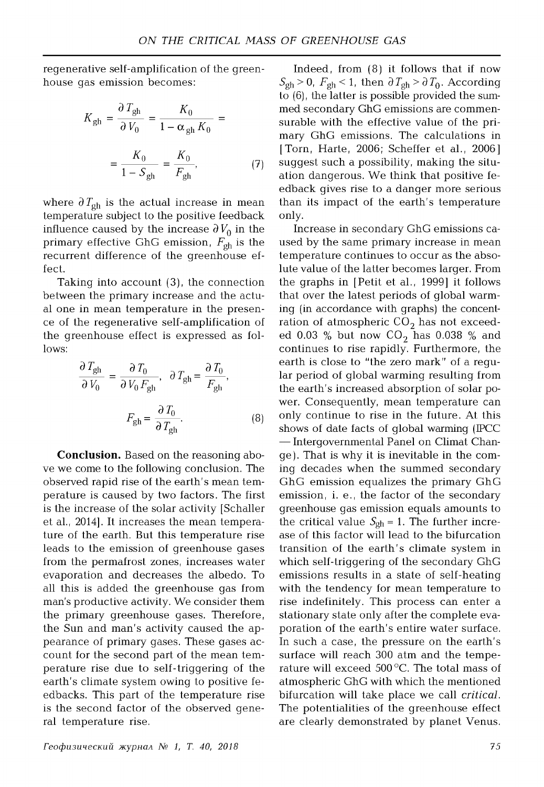regenerative self-amplification of the greenhouse gas emission becomes:

$$
K_{gh} = \frac{\partial T_{gh}}{\partial V_0} = \frac{K_0}{1 - \alpha_{gh} K_0} =
$$

$$
= \frac{K_0}{1 - S_{gh}} = \frac{K_0}{F_{gh}},
$$
(7)

where  $\partial T_{gh}$  is the actual increase in mean temperature subject to the positive feedback influence caused by the increase  $\partial V_0$  in the primary effective GhG emission,  $F_{gh}$  is the recurrent difference of the greenhouse effect.

Taking into account (3), the connection between the primary increase and the actual one in mean temperature in the presence of the regenerative self-amplification of the greenhouse effect is expressed as follows:

$$
\frac{\partial T_{\text{gh}}}{\partial V_0} = \frac{\partial T_0}{\partial V_0 F_{\text{gh}}}, \quad \partial T_{\text{gh}} = \frac{\partial T_0}{F_{\text{gh}}},
$$

$$
F_{\text{gh}} = \frac{\partial T_0}{\partial T_{\text{gh}}}.
$$
(8)

**Conclusion.** Based on the reasoning above we come to the following conclusion. The observed rapid rise of the earth's mean temperature is caused by two factors. The first is the increase of the solar activity [Schaller et al., 2014]. It increases the mean temperature of the earth. But this temperature rise leads to the emission of greenhouse gases from the permafrost zones, increases water evaporation and decreases the albedo. To all this is added the greenhouse gas from man's productive activity. We consider them the primary greenhouse gases. Therefore, the Sun and man's activity caused the appearance of primary gases. These gases account for the second part of the mean tem perature rise due to self-triggering of the earth's climate system owing to positive feedbacks. This part of the temperature rise is the second factor of the observed general temperature rise.

Indeed, from (8) it follows that if now  $S_{gh} > 0$ ,  $F_{gh} < 1$ , then  $\partial T_{gh} > \partial T_0$ . According to (6), the latter is possible provided the summed secondary GhG emissions are commensurable with the effective value of the primary GhG emissions. The calculations in [Torn, Harte, 2006; Scheffer et al., 2006] suggest such a possibility, making the situation dangerous. We think that positive feedback gives rise to a danger more serious than its impact of the earth's temperature only.

Increase in secondary GhG emissions caused by the same primary increase in mean temperature continues to occur as the absolute value of the latter becomes larger. From the graphs in [Petit et al., 1999] it follows that over the latest periods of global warming (in accordance with graphs) the concentration of atmospheric  $CO<sub>2</sub>$  has not exceeded 0.03 % but now  $CO_2$  has 0.038 % and continues to rise rapidly. Furthermore, the earth is close to "the zero mark" of a regular period of global warming resulting from the earth's increased absorption of solar power. Consequently, mean temperature can only continue to rise in the future. At this shows of date facts of global warming (IPCC — Intergovernmental Panel on Climat Change ). That is why it is inevitable in the com ing decades when the summed secondary GhG emission equalizes the primary GhG emission, i. e., the factor of the secondary greenhouse gas emission equals amounts to the critical value  $S_{gh} = 1$ . The further increase of this factor will lead to the bifurcation transition of the earth's climate system in which self-triggering of the secondary GhG emissions results in a state of self-heating with the tendency for mean temperature to rise indefinitely. This process can enter a stationary state only after the complete evaporation of the earth's entire water surface. In such a case, the pressure on the earth's surface will reach 300 atm and the temperature will exceed 500 °C. The total mass of atmospheric GhG with which the mentioned bifurcation will take place we call *critical.* The potentialities of the greenhouse effect are clearly demonstrated by planet Venus.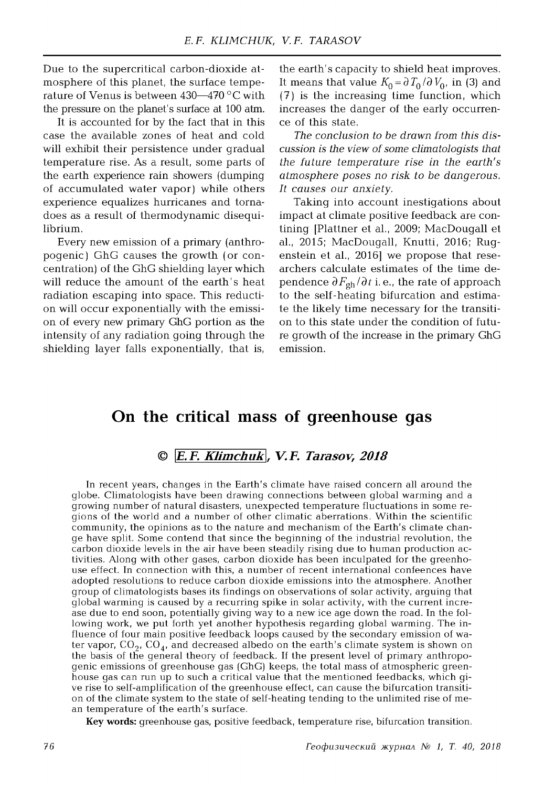Due to the supercritical carbon-dioxide atmosphere of this planet, the surface temperature of Venus is between  $430-470$  °C with the pressure on the planet's surface at 100 atm.

It is accounted for by the fact that in this case the available zones of heat and cold will exhibit their persistence under gradual temperature rise. As a result, some parts of the earth experience rain showers (dumping of accumulated water vapor) while others experience equalizes hurricanes and tornadoes as a result of thermodynamic disequilibrium.

Every new emission of a primary (anthropogenic) GhG causes the growth (or concentration) of the GhG shielding layer which will reduce the amount of the earth's heat radiation escaping into space. This reduction will occur exponentially with the emission of every new primary GhG portion as the intensity of any radiation going through the shielding layer falls exponentially, that is,

the earth's capacity to shield heat improves. It means that value  $K_0 = \partial T_0 / \partial V_0$ , in (3) and (7) is the increasing time function, which increases the danger of the early occurrence of this state.

The conclusion to be drawn from this dis*cussion is the view of some climatologists that the future temperature rise in the earth's atmosphere poses no risk to be dangerous.* It causes our anxiety.

Taking into account inestigations about impact at climate positive feedback are contining [Plattner et al., 2009; MacDougall et al., 2015; MacDougall, Knutti, 2016; Rugenstein et al., 2016] we propose that researchers calculate estimates of the time dependence  $\partial F_{gh}/\partial t$  i. e., the rate of approach to the self-heating bifurcation and estimate the likely time necessary for the transition to this state under the condition of future growth of the increase in the primary GhG emission.

# **On the critical mass of greenhouse gas**

### **©** *\E.F. Klimchuk, V.F. Tarasov, 2018*

In recent years, changes in the Earth's climate have raised concern all around the globe. Climatologists have been drawing connections between global warming and a growing number of natural disasters, unexpected temperature fluctuations in some regions of the world and a number of other climatic aberrations. Within the scientific community, the opinions as to the nature and mechanism of the Earth's climate change have split. Some contend that since the beginning of the industrial revolution, the carbon dioxide levels in the air have been steadily rising due to human production activities. Along with other gases, carbon dioxide has been inculpated for the greenhouse effect. In connection with this, a number of recent international confeences have adopted resolutions to reduce carbon dioxide emissions into the atmosphere. Another group of climatologists bases its findings on observations of solar activity, arguing that global warming is caused by a recurring spike in solar activity, with the current increase due to end soon, potentially giving way to a new ice age down the road. In the following work, we put forth yet another hypothesis regarding global warming. The influence of four main positive feedback loops caused by the secondary emission of water vapor,  $CO_2$ ,  $CO_4$ , and decreased albedo on the earth's climate system is shown on the basis of the general theory of feedback. If the present level of primary anthropogenic emissions of greenhouse gas (GhG) keeps, the total mass of atmospheric greenhouse gas can run up to such a critical value that the mentioned feedbacks, which give rise to self-amplification of the greenhouse effect, can cause the bifurcation transition of the climate system to the state of self-heating tending to the unlimited rise of mean temperature of the earth's surface.

**Key words:** greenhouse gas, positive feedback, temperature rise, bifurcation transition.